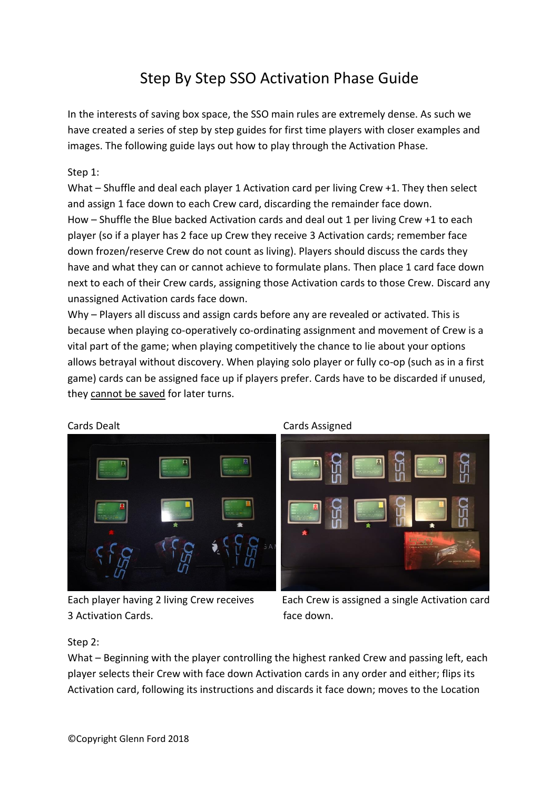# Step By Step SSO Activation Phase Guide

In the interests of saving box space, the SSO main rules are extremely dense. As such we have created a series of step by step guides for first time players with closer examples and images. The following guide lays out how to play through the Activation Phase.

## Step 1:

What – Shuffle and deal each player 1 Activation card per living Crew +1. They then select and assign 1 face down to each Crew card, discarding the remainder face down. How – Shuffle the Blue backed Activation cards and deal out 1 per living Crew +1 to each player (so if a player has 2 face up Crew they receive 3 Activation cards; remember face down frozen/reserve Crew do not count as living). Players should discuss the cards they have and what they can or cannot achieve to formulate plans. Then place 1 card face down next to each of their Crew cards, assigning those Activation cards to those Crew. Discard any unassigned Activation cards face down.

Why – Players all discuss and assign cards before any are revealed or activated. This is because when playing co-operatively co-ordinating assignment and movement of Crew is a vital part of the game; when playing competitively the chance to lie about your options allows betrayal without discovery. When playing solo player or fully co-op (such as in a first game) cards can be assigned face up if players prefer. Cards have to be discarded if unused, they cannot be saved for later turns.



Cards Dealt **Cards Assigned** 



3 Activation Cards. The contract of the face down.

Each player having 2 living Crew receives Each Crew is assigned a single Activation card

### Step 2:

What – Beginning with the player controlling the highest ranked Crew and passing left, each player selects their Crew with face down Activation cards in any order and either; flips its Activation card, following its instructions and discards it face down; moves to the Location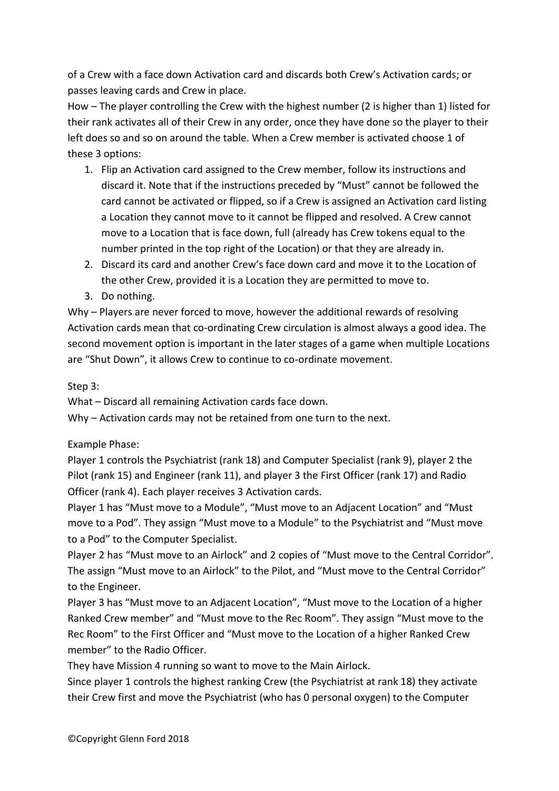of a Crew with a face down Activation card and discards both Crew's Activation cards; or passes leaving cards and Crew in place.

How – The player controlling the Crew with the highest number (2 is higher than 1) listed for their rank activates all of their Crew in any order, once they have done so the player to their left does so and so on around the table. When a Crew member is activated choose 1 of these 3 options:

- 1. Flip an Activation card assigned to the Crew member, follow its instructions and discard it. Note that if the instructions preceded by "Must" cannot be followed the card cannot be activated or flipped, so if a Crew is assigned an Activation card listing a Location they cannot move to it cannot be flipped and resolved. A Crew cannot move to a Location that is face down, full (already has Crew tokens equal to the number printed in the top right of the Location) or that they are already in.
- 2. Discard its card and another Crew's face down card and move it to the Location of the other Crew, provided it is a Location they are permitted to move to.
- 3. Do nothing.

Why – Players are never forced to move, however the additional rewards of resolving Activation cards mean that co-ordinating Crew circulation is almost always a good idea. The second movement option is important in the later stages of a game when multiple Locations are "Shut Down", it allows Crew to continue to co-ordinate movement.

Step 3:

What – Discard all remaining Activation cards face down.

Why – Activation cards may not be retained from one turn to the next.

# Example Phase:

Player 1 controls the Psychiatrist (rank 18) and Computer Specialist (rank 9), player 2 the Pilot (rank 15) and Engineer (rank 11), and player 3 the First Officer (rank 17) and Radio Officer (rank 4). Each player receives 3 Activation cards.

Player 1 has "Must move to a Module", "Must move to an Adjacent Location" and "Must move to a Pod". They assign "Must move to a Module" to the Psychiatrist and "Must move to a Pod" to the Computer Specialist.

Player 2 has "Must move to an Airlock" and 2 copies of "Must move to the Central Corridor". The assign "Must move to an Airlock" to the Pilot, and "Must move to the Central Corridor" to the Engineer.

Player 3 has "Must move to an Adjacent Location", "Must move to the Location of a higher Ranked Crew member" and "Must move to the Rec Room". They assign "Must move to the Rec Room" to the First Officer and "Must move to the Location of a higher Ranked Crew member" to the Radio Officer.

They have Mission 4 running so want to move to the Main Airlock.

Since player 1 controls the highest ranking Crew (the Psychiatrist at rank 18) they activate their Crew first and move the Psychiatrist (who has 0 personal oxygen) to the Computer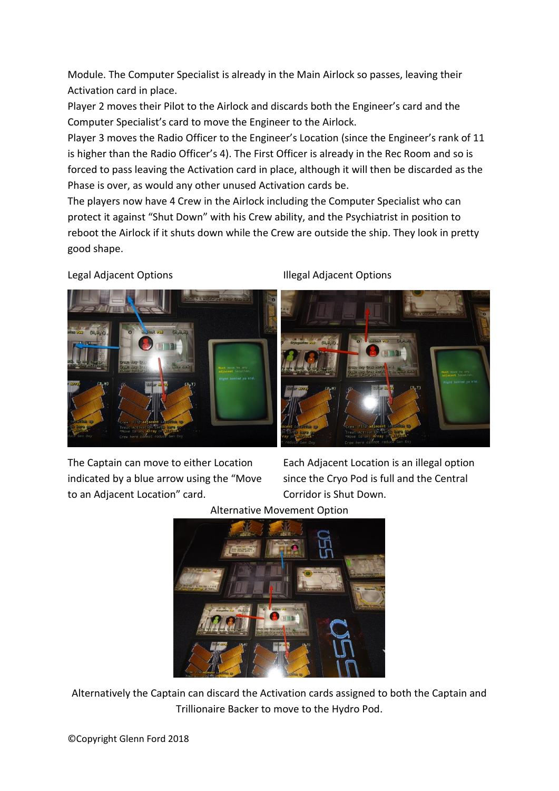Module. The Computer Specialist is already in the Main Airlock so passes, leaving their Activation card in place.

Player 2 moves their Pilot to the Airlock and discards both the Engineer's card and the Computer Specialist's card to move the Engineer to the Airlock.

Player 3 moves the Radio Officer to the Engineer's Location (since the Engineer's rank of 11 is higher than the Radio Officer's 4). The First Officer is already in the Rec Room and so is forced to pass leaving the Activation card in place, although it will then be discarded as the Phase is over, as would any other unused Activation cards be.

The players now have 4 Crew in the Airlock including the Computer Specialist who can protect it against "Shut Down" with his Crew ability, and the Psychiatrist in position to reboot the Airlock if it shuts down while the Crew are outside the ship. They look in pretty good shape.



Legal Adjacent Options **Illegal Adjacent Options** 



The Captain can move to either Location Each Adjacent Location is an illegal option indicated by a blue arrow using the "Move since the Cryo Pod is full and the Central to an Adjacent Location" card. Corridor is Shut Down.



Alternatively the Captain can discard the Activation cards assigned to both the Captain and Trillionaire Backer to move to the Hydro Pod.